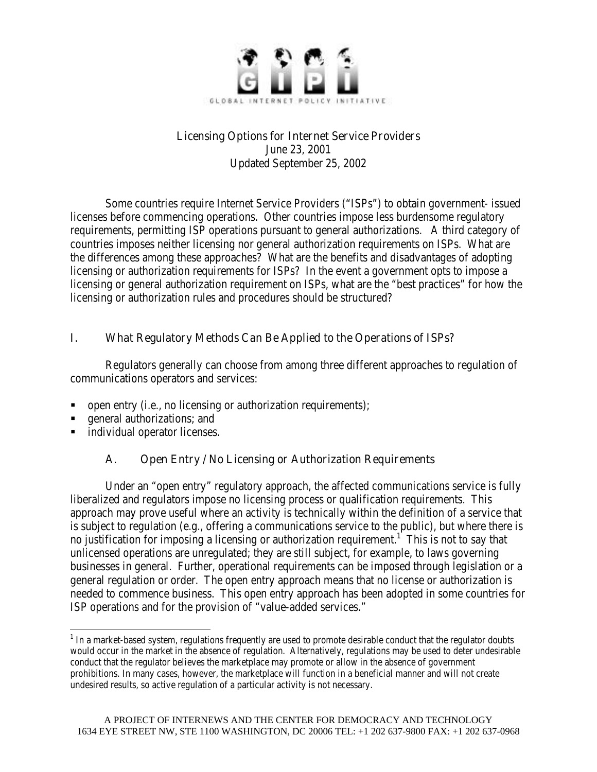

#### Licensing Options for Internet Service Providers

June 23, 2001 Updated September 25, 2002

Some countries require Internet Service Providers ("ISPs") to obtain government- issued licenses before commencing operations. Other countries impose less burdensome regulatory requirements, permitting ISP operations pursuant to general authorizations. A third category of countries imposes neither licensing nor general authorization requirements on ISPs. What are the differences among these approaches? What are the benefits and disadvantages of adopting licensing or authorization requirements for ISPs? In the event a government opts to impose a licensing or general authorization requirement on ISPs, what are the "best practices" for how the licensing or authorization rules and procedures should be structured?

## I. What Regulatory Methods Can Be Applied to the Operations of ISPs?

Regulators generally can choose from among three different approaches to regulation of communications operators and services:

- ß open entry (i.e., no licensing or authorization requirements);
- ß general authorizations; and
- ß individual operator licenses.

## A. Open Entry / No Licensing or Authorization Requirements

Under an "open entry" regulatory approach, the affected communications service is fully liberalized and regulators impose no licensing process or qualification requirements. This approach may prove useful where an activity is technically within the definition of a service that is subject to regulation (e.g., offering a communications service to the public), but where there is no justification for imposing a licensing or authorization requirement.<sup>1</sup> This is not to say that unlicensed operations are unregulated; they are still subject, for example, to laws governing businesses in general. Further, operational requirements can be imposed through legislation or a general regulation or order. The open entry approach means that no license or authorization is needed to commence business. This open entry approach has been adopted in some countries for ISP operations and for the provision of "value-added services."

 $\overline{a}$  $^1$  In a market-based system, regulations frequently are used to promote desirable conduct that the regulator doubts would occur in the market in the absence of regulation. Alternatively, regulations may be used to deter undesirable conduct that the regulator believes the marketplace may promote or allow in the absence of government prohibitions. In many cases, however, the marketplace will function in a beneficial manner and will not create undesired results, so active regulation of a particular activity is not necessary.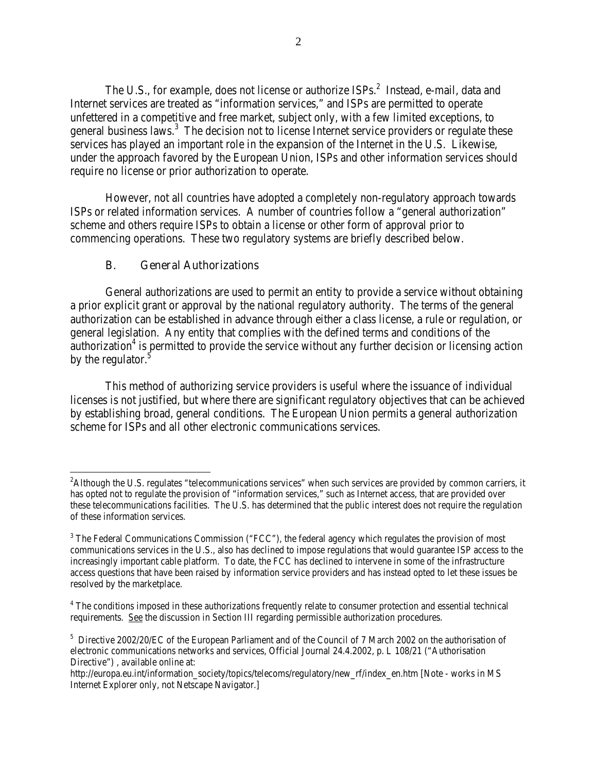The U.S., for example, does not license or authorize  ${\rm ISPs.}^2$  Instead, e-mail, data and Internet services are treated as "information services," and ISPs are permitted to operate unfettered in a competitive and free market, subject only, with a few limited exceptions, to general business laws.<sup>3</sup> The decision not to license Internet service providers or regulate these services has played an important role in the expansion of the Internet in the U.S. Likewise, under the approach favored by the European Union, ISPs and other information services should require no license or prior authorization to operate.

However, not all countries have adopted a completely non-regulatory approach towards ISPs or related information services. A number of countries follow a "general authorization" scheme and others require ISPs to obtain a license or other form of approval prior to commencing operations. These two regulatory systems are briefly described below.

#### B. General Authorizations

 $\overline{a}$ 

General authorizations are used to permit an entity to provide a service without obtaining a prior explicit grant or approval by the national regulatory authority. The terms of the general authorization can be established in advance through either a class license, a rule or regulation, or general legislation. Any entity that complies with the defined terms and conditions of the  $\alpha$ uthorization<sup>4</sup> is permitted to provide the service without any further decision or licensing action by the regulator.<sup>5</sup>

This method of authorizing service providers is useful where the issuance of individual licenses is not justified, but where there are significant regulatory objectives that can be achieved by establishing broad, general conditions. The European Union permits a general authorization scheme for ISPs and all other electronic communications services.

<sup>&</sup>lt;sup>2</sup>Although the U.S. regulates "telecommunications services" when such services are provided by common carriers, it has opted not to regulate the provision of "information services," such as Internet access, that are provided over these telecommunications facilities. The U.S. has determined that the public interest does not require the regulation of these information services.

 $3$  The Federal Communications Commission ("FCC"), the federal agency which regulates the provision of most communications services in the U.S., also has declined to impose regulations that would guarantee ISP access to the increasingly important cable platform. To date, the FCC has declined to intervene in some of the infrastructure access questions that have been raised by information service providers and has instead opted to let these issues be resolved by the marketplace.

 $^4$  The conditions imposed in these authorizations frequently relate to consumer protection and essential technical requirements. See the discussion in Section III regarding permissible authorization procedures.

<sup>&</sup>lt;sup>5</sup> Directive 2002/20/EC of the European Parliament and of the Council of 7 March 2002 on the authorisation of electronic communications networks and services, Official Journal 24.4.2002, p. L 108/21 ("Authorisation Directive") , available online at:

http://europa.eu.int/information\_society/topics/telecoms/regulatory/new\_rf/index\_en.htm [Note - works in MS Internet Explorer only, not Netscape Navigator.]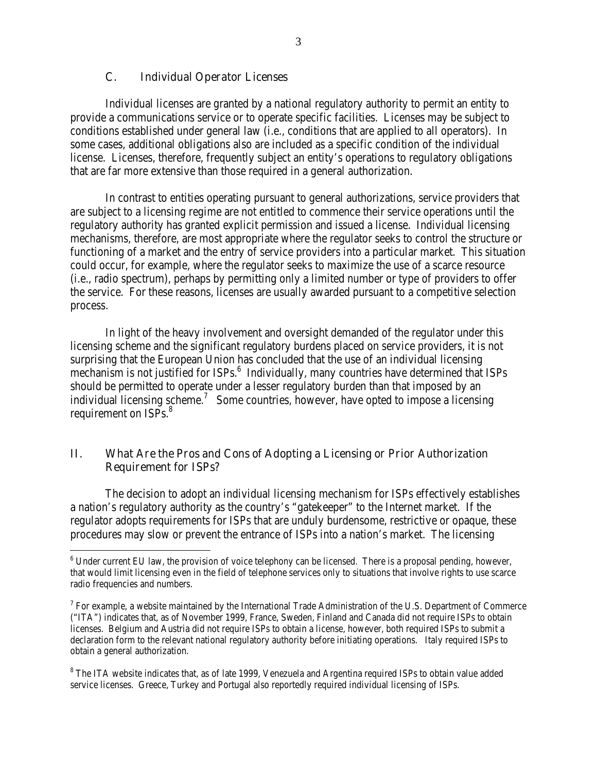#### C. Individual Operator Licenses

 $\overline{a}$ 

Individual licenses are granted by a national regulatory authority to permit an entity to provide a communications service or to operate specific facilities. Licenses may be subject to conditions established under general law (i.e., conditions that are applied to all operators). In some cases, additional obligations also are included as a specific condition of the individual license. Licenses, therefore, frequently subject an entity's operations to regulatory obligations that are far more extensive than those required in a general authorization.

In contrast to entities operating pursuant to general authorizations, service providers that are subject to a licensing regime are not entitled to commence their service operations until the regulatory authority has granted explicit permission and issued a license. Individual licensing mechanisms, therefore, are most appropriate where the regulator seeks to control the structure or functioning of a market and the entry of service providers into a particular market. This situation could occur, for example, where the regulator seeks to maximize the use of a scarce resource (i.e., radio spectrum), perhaps by permitting only a limited number or type of providers to offer the service. For these reasons, licenses are usually awarded pursuant to a competitive selection process.

In light of the heavy involvement and oversight demanded of the regulator under this licensing scheme and the significant regulatory burdens placed on service providers, it is not surprising that the European Union has concluded that the use of an individual licensing mechanism is not justified for ISPs.<sup>6</sup> Individually, many countries have determined that ISPs should be permitted to operate under a lesser regulatory burden than that imposed by an individual licensing scheme.<sup>7</sup> Some countries, however, have opted to impose a licensing requirement on ISPs.<sup>8</sup>

#### II. What Are the Pros and Cons of Adopting a Licensing or Prior Authorization Requirement for ISPs?

The decision to adopt an individual licensing mechanism for ISPs effectively establishes a nation's regulatory authority as the country's "gatekeeper" to the Internet market. If the regulator adopts requirements for ISPs that are unduly burdensome, restrictive or opaque, these procedures may slow or prevent the entrance of ISPs into a nation's market. The licensing

 $^6$  Under current EU law, the provision of voice telephony can be licensed. There is a proposal pending, however, that would limit licensing even in the field of telephone services only to situations that involve rights to use scarce radio frequencies and numbers.

 $^7$  For example, a website maintained by the International Trade Administration of the U.S. Department of Commerce ("ITA") indicates that, as of November 1999, France, Sweden, Finland and Canada did not require ISPs to obtain licenses. Belgium and Austria did not require ISPs to obtain a license, however, both required ISPs to submit a declaration form to the relevant national regulatory authority before initiating operations. Italy required ISPs to obtain a general authorization.

 $^8$  The ITA website indicates that, as of late 1999, Venezuela and Argentina required ISPs to obtain value added service licenses. Greece, Turkey and Portugal also reportedly required individual licensing of ISPs.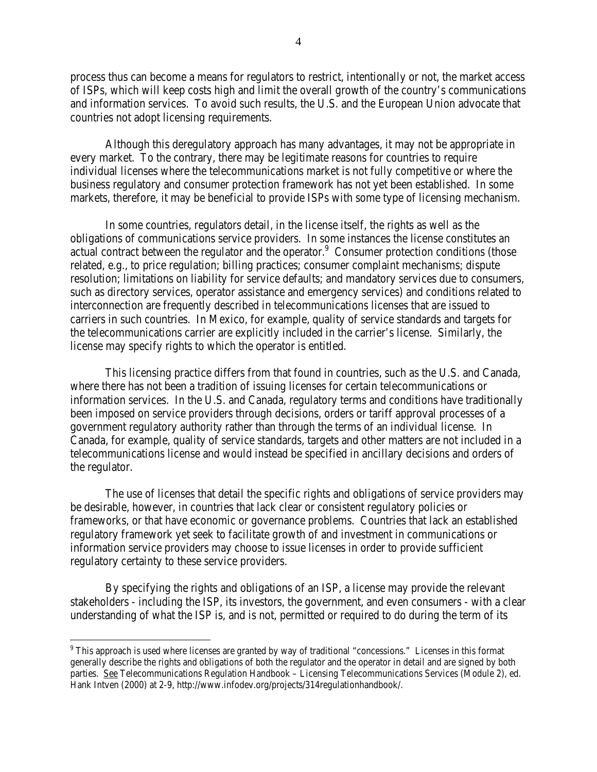process thus can become a means for regulators to restrict, intentionally or not, the market access of ISPs, which will keep costs high and limit the overall growth of the country's communications and information services. To avoid such results, the U.S. and the European Union advocate that countries not adopt licensing requirements.

Although this deregulatory approach has many advantages, it may not be appropriate in every market. To the contrary, there may be legitimate reasons for countries to require individual licenses where the telecommunications market is not fully competitive or where the business regulatory and consumer protection framework has not yet been established. In some markets, therefore, it may be beneficial to provide ISPs with some type of licensing mechanism.

In some countries, regulators detail, in the license itself, the rights as well as the obligations of communications service providers. In some instances the license constitutes an actual contract between the regulator and the operator. $9$  Consumer protection conditions (those related, e.g., to price regulation; billing practices; consumer complaint mechanisms; dispute resolution; limitations on liability for service defaults; and mandatory services due to consumers, such as directory services, operator assistance and emergency services) and conditions related to interconnection are frequently described in telecommunications licenses that are issued to carriers in such countries. In Mexico, for example, quality of service standards and targets for the telecommunications carrier are explicitly included in the carrier's license. Similarly, the license may specify rights to which the operator is entitled.

This licensing practice differs from that found in countries, such as the U.S. and Canada, where there has not been a tradition of issuing licenses for certain telecommunications or information services. In the U.S. and Canada, regulatory terms and conditions have traditionally been imposed on service providers through decisions, orders or tariff approval processes of a government regulatory authority rather than through the terms of an individual license. In Canada, for example, quality of service standards, targets and other matters are not included in a telecommunications license and would instead be specified in ancillary decisions and orders of the regulator.

The use of licenses that detail the specific rights and obligations of service providers may be desirable, however, in countries that lack clear or consistent regulatory policies or frameworks, or that have economic or governance problems. Countries that lack an established regulatory framework yet seek to facilitate growth of and investment in communications or information service providers may choose to issue licenses in order to provide sufficient regulatory certainty to these service providers.

By specifying the rights and obligations of an ISP, a license may provide the relevant stakeholders - including the ISP, its investors, the government, and even consumers - with a clear understanding of what the ISP is, and is not, permitted or required to do during the term of its

 $\overline{a}$  $9$  This approach is used where licenses are granted by way of traditional "concessions." Licenses in this format generally describe the rights and obligations of both the regulator and the operator in detail and are signed by both parties. See Telecommunications Regulation Handbook – Licensing Telecommunications Services (Module 2), ed. Hank Intven (2000) at 2-9, http://www.infodev.org/projects/314regulationhandbook/.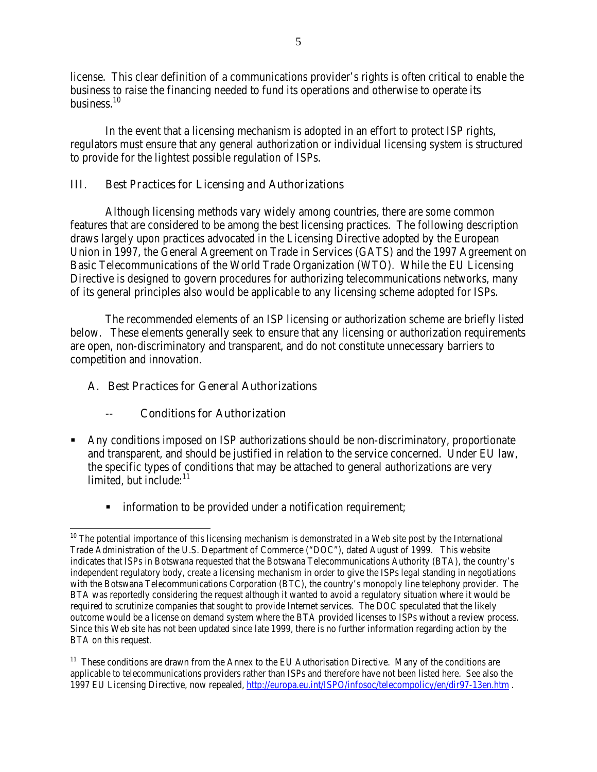license. This clear definition of a communications provider's rights is often critical to enable the business to raise the financing needed to fund its operations and otherwise to operate its business.<sup>10</sup>

In the event that a licensing mechanism is adopted in an effort to protect ISP rights, regulators must ensure that any general authorization or individual licensing system is structured to provide for the lightest possible regulation of ISPs.

#### III. Best Practices for Licensing and Authorizations

Although licensing methods vary widely among countries, there are some common features that are considered to be among the best licensing practices. The following description draws largely upon practices advocated in the Licensing Directive adopted by the European Union in 1997, the General Agreement on Trade in Services (GATS) and the 1997 Agreement on Basic Telecommunications of the World Trade Organization (WTO). While the EU Licensing Directive is designed to govern procedures for authorizing telecommunications networks, many of its general principles also would be applicable to any licensing scheme adopted for ISPs.

The recommended elements of an ISP licensing or authorization scheme are briefly listed below. These elements generally seek to ensure that any licensing or authorization requirements are open, non-discriminatory and transparent, and do not constitute unnecessary barriers to competition and innovation.

#### A. Best Practices for General Authorizations

#### -- Conditions for Authorization

- ß Any conditions imposed on ISP authorizations should be non-discriminatory, proportionate and transparent, and should be justified in relation to the service concerned. Under EU law, the specific types of conditions that may be attached to general authorizations are very limited, but include:<sup>11</sup>
	- **EXECUTE:** information to be provided under a notification requirement;

 $\overline{a}$  $10$  The potential importance of this licensing mechanism is demonstrated in a Web site post by the International Trade Administration of the U.S. Department of Commerce ("DOC"), dated August of 1999. This website indicates that ISPs in Botswana requested that the Botswana Telecommunications Authority (BTA), the country's independent regulatory body, create a licensing mechanism in order to give the ISPs legal standing in negotiations with the Botswana Telecommunications Corporation (BTC), the country's monopoly line telephony provider. The BTA was reportedly considering the request although it wanted to avoid a regulatory situation where it would be required to scrutinize companies that sought to provide Internet services. The DOC speculated that the likely outcome would be a license on demand system where the BTA provided licenses to ISPs without a review process. Since this Web site has not been updated since late 1999, there is no further information regarding action by the BTA on this request.

<sup>&</sup>lt;sup>11</sup> These conditions are drawn from the Annex to the EU Authorisation Directive. Many of the conditions are applicable to telecommunications providers rather than ISPs and therefore have not been listed here. See also the 1997 EU Licensing Directive, now repealed, http://europa.eu.int/ISPO/infosoc/telecompolicy/en/dir97-13en.htm .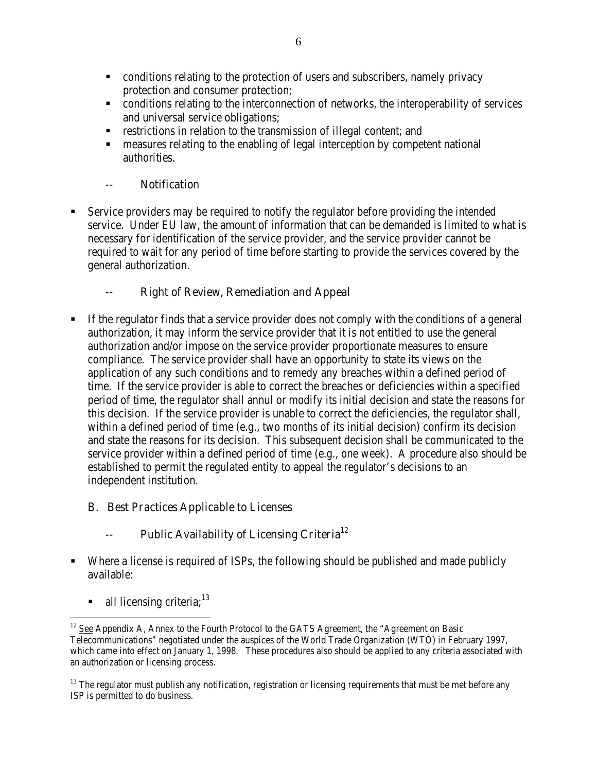- conditions relating to the protection of users and subscribers, namely privacy protection and consumer protection;
- conditions relating to the interconnection of networks, the interoperability of services and universal service obligations;
- **EXECUTE:** restrictions in relation to the transmission of illegal content; and
- ß measures relating to the enabling of legal interception by competent national authorities.

## -- Notification

ß Service providers may be required to notify the regulator before providing the intended service. Under EU law, the amount of information that can be demanded is limited to what is necessary for identification of the service provider, and the service provider cannot be required to wait for any period of time before starting to provide the services covered by the general authorization.

## -- Right of Review, Remediation and Appeal

ß If the regulator finds that a service provider does not comply with the conditions of a general authorization, it may inform the service provider that it is not entitled to use the general authorization and/or impose on the service provider proportionate measures to ensure compliance. The service provider shall have an opportunity to state its views on the application of any such conditions and to remedy any breaches within a defined period of time. If the service provider is able to correct the breaches or deficiencies within a specified period of time, the regulator shall annul or modify its initial decision and state the reasons for this decision. If the service provider is unable to correct the deficiencies, the regulator shall, within a defined period of time (e.g., two months of its initial decision) confirm its decision and state the reasons for its decision. This subsequent decision shall be communicated to the service provider within a defined period of time (e.g., one week). A procedure also should be established to permit the regulated entity to appeal the regulator's decisions to an independent institution.

## B. Best Practices Applicable to Licenses

# Public Availability of Licensing Criteria<sup>12</sup>

- ß Where a license is required of ISPs, the following should be published and made publicly available:
	- all licensing criteria; $^{13}$

 $\overline{a}$ <sup>12</sup> See Appendix A, Annex to the Fourth Protocol to the GATS Agreement, the "Agreement on Basic Telecommunications" negotiated under the auspices of the World Trade Organization (WTO) in February 1997, which came into effect on January 1, 1998. These procedures also should be applied to any criteria associated with an authorization or licensing process.

 $13$  The regulator must publish any notification, registration or licensing requirements that must be met before any ISP is permitted to do business.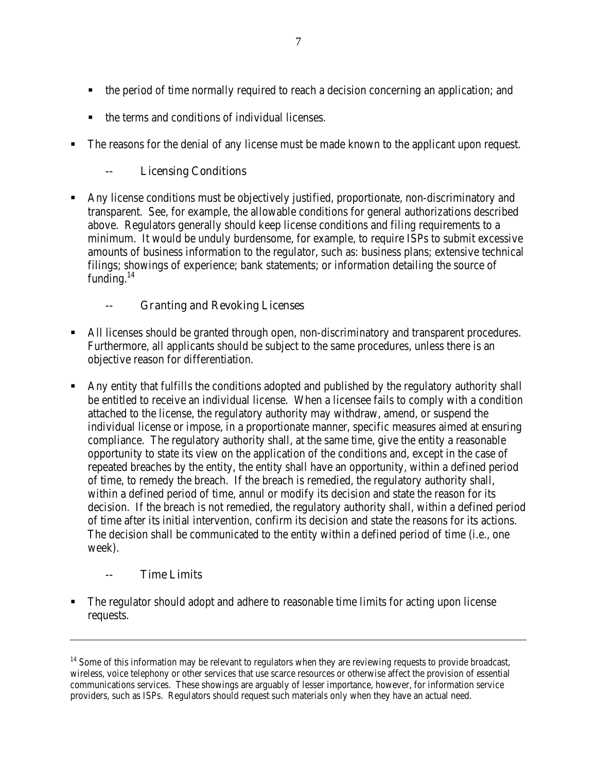- the period of time normally required to reach a decision concerning an application; and
- ß the terms and conditions of individual licenses.
- The reasons for the denial of any license must be made known to the applicant upon request.

### -- Licensing Conditions

ß Any license conditions must be objectively justified, proportionate, non-discriminatory and transparent. See, for example, the allowable conditions for general authorizations described above. Regulators generally should keep license conditions and filing requirements to a minimum. It would be unduly burdensome, for example, to require ISPs to submit excessive amounts of business information to the regulator, such as: business plans; extensive technical filings; showings of experience; bank statements; or information detailing the source of funding. $^{14}$ 

#### -- Granting and Revoking Licenses

- ß All licenses should be granted through open, non-discriminatory and transparent procedures. Furthermore, all applicants should be subject to the same procedures, unless there is an objective reason for differentiation.
- ß Any entity that fulfills the conditions adopted and published by the regulatory authority shall be entitled to receive an individual license. When a licensee fails to comply with a condition attached to the license, the regulatory authority may withdraw, amend, or suspend the individual license or impose, in a proportionate manner, specific measures aimed at ensuring compliance. The regulatory authority shall, at the same time, give the entity a reasonable opportunity to state its view on the application of the conditions and, except in the case of repeated breaches by the entity, the entity shall have an opportunity, within a defined period of time, to remedy the breach. If the breach is remedied, the regulatory authority shall, within a defined period of time, annul or modify its decision and state the reason for its decision. If the breach is not remedied, the regulatory authority shall, within a defined period of time after its initial intervention, confirm its decision and state the reasons for its actions. The decision shall be communicated to the entity within a defined period of time (i.e., one week).

#### -- Time Limits

 $\overline{a}$ 

ß The regulator should adopt and adhere to reasonable time limits for acting upon license requests.

 $14$  Some of this information may be relevant to regulators when they are reviewing requests to provide broadcast, wireless, voice telephony or other services that use scarce resources or otherwise affect the provision of essential communications services. These showings are arguably of lesser importance, however, for information service providers, such as ISPs. Regulators should request such materials only when they have an actual need.